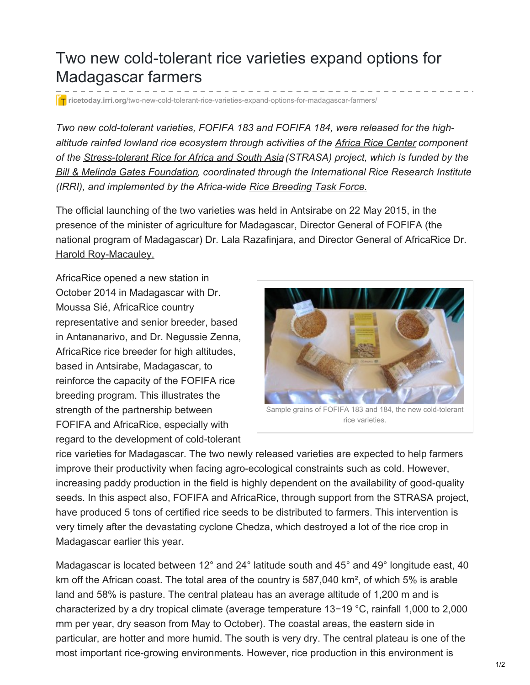## Two new cold-tolerant rice varieties expand options for Madagascar farmers

**T** ricetoday.irri.org[/two-new-cold-tolerant-rice-varieties-expand-options-for-madagascar-farmers/](http://ricetoday.irri.org/two-new-cold-tolerant-rice-varieties-expand-options-for-madagascar-farmers/)

*Two new cold-tolerant varieties, FOFIFA 183 and FOFIFA 184, were released for the highaltitude rainfed lowland rice ecosystem through activities of the Africa Rice [Center](http://www.africarice.org/) component of the [Stress-tolerant](http://strasa.irri.org/) Rice for Africa and South Asia(STRASA) project, which is funded by the Bill & Melinda Gates [Foundation](http://www.gatesfoundation.org/), coordinated through the International Rice Research Institute (IRRI), and implemented by the Africa-wide Rice [Breeding](http://www.africarice.org/africarice-grip-docs/Task Force Breeding.pdf) Task Force.*

The official launching of the two varieties was held in Antsirabe on 22 May 2015, in the presence of the minister of agriculture for Madagascar, Director General of FOFIFA (the national program of Madagascar) Dr. Lala Razafinjara, and Director General of AfricaRice Dr. Harold [Roy-Macauley.](http://africarice.org/warda/directorgeneral.asp)

AfricaRice opened a new station in October 2014 in Madagascar with Dr. Moussa Sié, AfricaRice country representative and senior breeder, based in Antananarivo, and Dr. Negussie Zenna, AfricaRice rice breeder for high altitudes, based in Antsirabe, Madagascar, to reinforce the capacity of the FOFIFA rice breeding program. This illustrates the strength of the partnership between FOFIFA and AfricaRice, especially with regard to the development of cold-tolerant



rice varieties.

rice varieties for Madagascar. The two newly released varieties are expected to help farmers improve their productivity when facing agro-ecological constraints such as cold. However, increasing paddy production in the field is highly dependent on the availability of good-quality seeds. In this aspect also, FOFIFA and AfricaRice, through support from the STRASA project, have produced 5 tons of certified rice seeds to be distributed to farmers. This intervention is very timely after the devastating cyclone Chedza, which destroyed a lot of the rice crop in Madagascar earlier this year.

Madagascar is located between 12° and 24° latitude south and 45° and 49° longitude east, 40 km off the African coast. The total area of the country is 587,040 km<sup>2</sup>, of which 5% is arable land and 58% is pasture. The central plateau has an average altitude of 1,200 m and is characterized by a dry tropical climate (average temperature 13−19 °C, rainfall 1,000 to 2,000 mm per year, dry season from May to October). The coastal areas, the eastern side in particular, are hotter and more humid. The south is very dry. The central plateau is one of the most important rice-growing environments. However, rice production in this environment is